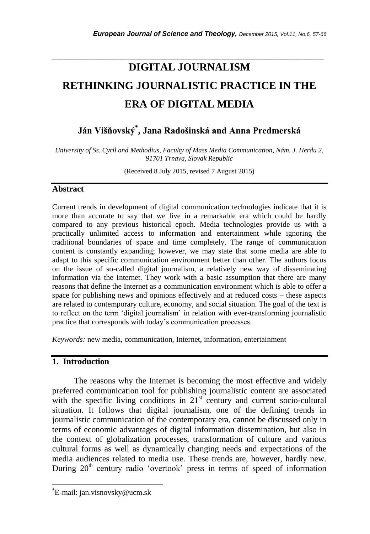# **DIGITAL JOURNALISM RETHINKING JOURNALISTIC PRACTICE IN THE ERA OF DIGITAL MEDIA**

*\_\_\_\_\_\_\_\_\_\_\_\_\_\_\_\_\_\_\_\_\_\_\_\_\_\_\_\_\_\_\_\_\_\_\_\_\_\_\_\_\_\_\_\_\_\_\_\_\_\_\_\_\_\_\_\_\_\_\_\_\_\_\_\_\_\_\_\_\_\_\_*

**Ján Višňovský\* , Jana Radošinská and Anna Predmerská**

*University of Ss. Cyril and Methodius, Faculty of Mass Media Communication, Nám. J. Herdu 2, 91701 Trnava, Slovak Republic*

(Received 8 July 2015, revised 7 August 2015)

# **Abstract**

Current trends in development of digital communication technologies indicate that it is more than accurate to say that we live in a remarkable era which could be hardly compared to any previous historical epoch. Media technologies provide us with a practically unlimited access to information and entertainment while ignoring the traditional boundaries of space and time completely. The range of communication content is constantly expanding; however, we may state that some media are able to adapt to this specific communication environment better than other. The authors focus on the issue of so-called digital journalism, a relatively new way of disseminating information via the Internet. They work with a basic assumption that there are many reasons that define the Internet as a communication environment which is able to offer a space for publishing news and opinions effectively and at reduced costs – these aspects are related to contemporary culture, economy, and social situation. The goal of the text is to reflect on the term "digital journalism" in relation with ever-transforming journalistic practice that corresponds with today"s communication processes.

*Keywords:* new media, communication, Internet, information, entertainment

# **1. Introduction**

The reasons why the Internet is becoming the most effective and widely preferred communication tool for publishing journalistic content are associated with the specific living conditions in  $21<sup>st</sup>$  century and current socio-cultural situation. It follows that digital journalism, one of the defining trends in journalistic communication of the contemporary era, cannot be discussed only in terms of economic advantages of digital information dissemination, but also in the context of globalization processes, transformation of culture and various cultural forms as well as dynamically changing needs and expectations of the media audiences related to media use. These trends are, however, hardly new. During 20<sup>th</sup> century radio 'overtook' press in terms of speed of information

l

<sup>\*</sup>E-mail: jan.visnovsky@ucm.sk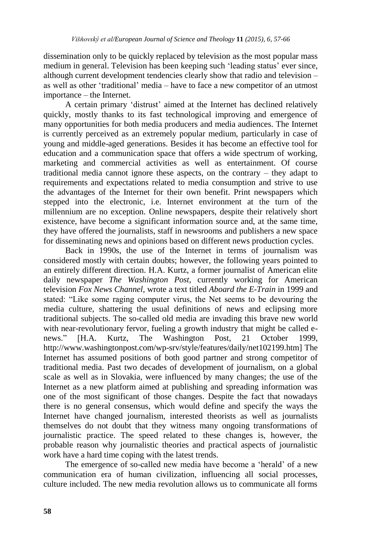dissemination only to be quickly replaced by television as the most popular mass medium in general. Television has been keeping such "leading status" ever since, although current development tendencies clearly show that radio and television – as well as other "traditional" media – have to face a new competitor of an utmost importance – the Internet.

A certain primary "distrust" aimed at the Internet has declined relatively quickly, mostly thanks to its fast technological improving and emergence of many opportunities for both media producers and media audiences. The Internet is currently perceived as an extremely popular medium, particularly in case of young and middle-aged generations. Besides it has become an effective tool for education and a communication space that offers a wide spectrum of working, marketing and commercial activities as well as entertainment. Of course traditional media cannot ignore these aspects, on the contrary – they adapt to requirements and expectations related to media consumption and strive to use the advantages of the Internet for their own benefit. Print newspapers which stepped into the electronic, i.e. Internet environment at the turn of the millennium are no exception. Online newspapers, despite their relatively short existence, have become a significant information source and, at the same time, they have offered the journalists, staff in newsrooms and publishers a new space for disseminating news and opinions based on different news production cycles.

Back in 1990s, the use of the Internet in terms of journalism was considered mostly with certain doubts; however, the following years pointed to an entirely different direction. H.A. Kurtz, a former journalist of American elite daily newspaper *The Washington Post,* currently working for American television *Fox News Channel,* wrote a text titled *Aboard the E-Train* in 1999 and stated: "Like some raging computer virus, the Net seems to be devouring the media culture, shattering the usual definitions of news and eclipsing more traditional subjects. The so-called old media are invading this brave new world with near-revolutionary fervor, fueling a growth industry that might be called enews." [H.A. Kurtz, The Washington Post, 21 October 1999, http://www.washingtonpost.com/wp-srv/style/features/daily/net102199.htm] The Internet has assumed positions of both good partner and strong competitor of traditional media. Past two decades of development of journalism, on a global scale as well as in Slovakia, were influenced by many changes; the use of the Internet as a new platform aimed at publishing and spreading information was one of the most significant of those changes. Despite the fact that nowadays there is no general consensus, which would define and specify the ways the Internet have changed journalism, interested theorists as well as journalists themselves do not doubt that they witness many ongoing transformations of journalistic practice. The speed related to these changes is, however, the probable reason why journalistic theories and practical aspects of journalistic work have a hard time coping with the latest trends.

The emergence of so-called new media have become a "herald" of a new communication era of human civilization, influencing all social processes, culture included. The new media revolution allows us to communicate all forms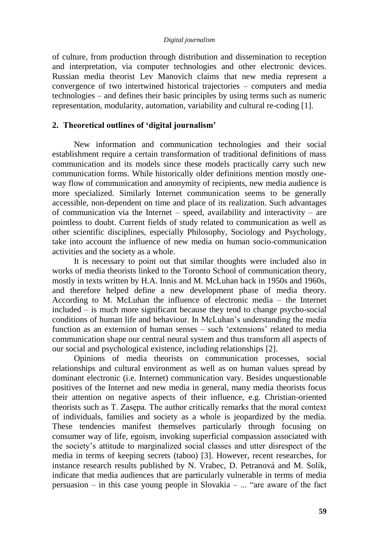of culture, from production through distribution and dissemination to reception and interpretation, via computer technologies and other electronic devices. Russian media theorist Lev Manovich claims that new media represent a convergence of two intertwined historical trajectories – computers and media technologies – and defines their basic principles by using terms such as numeric representation, modularity, automation, variability and cultural re-coding [1].

# **2. Theoretical outlines of 'digital journalism'**

New information and communication technologies and their social establishment require a certain transformation of traditional definitions of mass communication and its models since these models practically carry such new communication forms. While historically older definitions mention mostly oneway flow of communication and anonymity of recipients, new media audience is more specialized. Similarly Internet communication seems to be generally accessible, non-dependent on time and place of its realization. Such advantages of communication via the Internet – speed, availability and interactivity – are pointless to doubt. Current fields of study related to communication as well as other scientific disciplines, especially Philosophy, Sociology and Psychology, take into account the influence of new media on human socio-communication activities and the society as a whole.

It is necessary to point out that similar thoughts were included also in works of media theorists linked to the Toronto School of communication theory, mostly in texts written by H.A. Innis and M. McLuhan back in 1950s and 1960s, and therefore helped define a new development phase of media theory. According to M. McLuhan the influence of electronic media – the Internet included – is much more significant because they tend to change psycho-social conditions of human life and behaviour. In McLuhan"s understanding the media function as an extension of human senses – such 'extensions' related to media communication shape our central neural system and thus transform all aspects of our social and psychological existence, including relationships [2].

Opinions of media theorists on communication processes, social relationships and cultural environment as well as on human values spread by dominant electronic (i.e. Internet) communication vary. Besides unquestionable positives of the Internet and new media in general, many media theorists focus their attention on negative aspects of their influence, e.g. Christian-oriented theorists such as T. Zasępa. The author critically remarks that the moral context of individuals, families and society as a whole is jeopardized by the media. These tendencies manifest themselves particularly through focusing on consumer way of life, egoism, invoking superficial compassion associated with the society"s attitude to marginalized social classes and utter disrespect of the media in terms of keeping secrets (taboo) [3]. However, recent researches, for instance research results published by N. Vrabec, D. Petranová and M. Solík, indicate that media audiences that are particularly vulnerable in terms of media persuasion – in this case young people in Slovakia – ... "are aware of the fact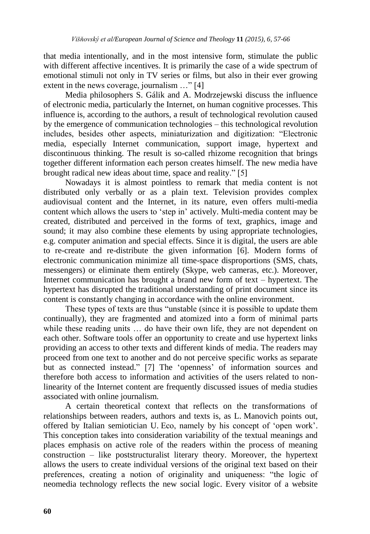that media intentionally, and in the most intensive form, stimulate the public with different affective incentives. It is primarily the case of a wide spectrum of emotional stimuli not only in TV series or films, but also in their ever growing extent in the news coverage, journalism ..." [4]

Media philosophers S. Gálik and A. Modrzejewski discuss the influence of electronic media, particularly the Internet, on human cognitive processes. This influence is, according to the authors, a result of technological revolution caused by the emergence of communication technologies – this technological revolution includes, besides other aspects, miniaturization and digitization: "Electronic media, especially Internet communication, support image, hypertext and discontinuous thinking. The result is so-called rhizome recognition that brings together different information each person creates himself. The new media have brought radical new ideas about time, space and reality." [5]

Nowadays it is almost pointless to remark that media content is not distributed only verbally or as a plain text. Television provides complex audiovisual content and the Internet, in its nature, even offers multi-media content which allows the users to "step in" actively. Multi-media content may be created, distributed and perceived in the forms of text, graphics, image and sound; it may also combine these elements by using appropriate technologies, e.g. computer animation and special effects. Since it is digital, the users are able to re-create and re-distribute the given information [6]. Modern forms of electronic communication minimize all time-space disproportions (SMS, chats, messengers) or eliminate them entirely (Skype, web cameras, etc.). Moreover, Internet communication has brought a brand new form of text – hypertext. The hypertext has disrupted the traditional understanding of print document since its content is constantly changing in accordance with the online environment.

These types of texts are thus "unstable (since it is possible to update them continually), they are fragmented and atomized into a form of minimal parts while these reading units ... do have their own life, they are not dependent on each other. Software tools offer an opportunity to create and use hypertext links providing an access to other texts and different kinds of media. The readers may proceed from one text to another and do not perceive specific works as separate but as connected instead." [7] The 'openness' of information sources and therefore both access to information and activities of the users related to nonlinearity of the Internet content are frequently discussed issues of media studies associated with online journalism.

A certain theoretical context that reflects on the transformations of relationships between readers, authors and texts is, as L. Manovich points out, offered by Italian semiotician U. Eco, namely by his concept of "open work". This conception takes into consideration variability of the textual meanings and places emphasis on active role of the readers within the process of meaning construction – like poststructuralist literary theory. Moreover, the hypertext allows the users to create individual versions of the original text based on their preferences, creating a notion of originality and uniqueness: "the logic of neomedia technology reflects the new social logic. Every visitor of a website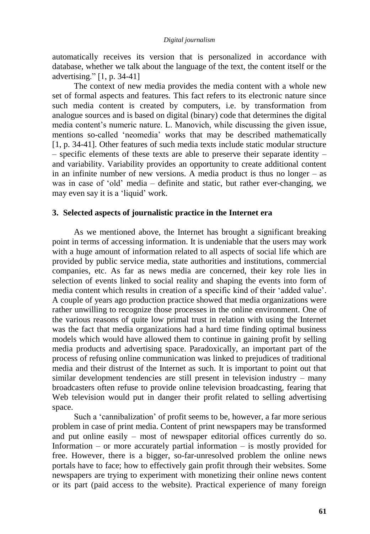automatically receives its version that is personalized in accordance with database, whether we talk about the language of the text, the content itself or the advertising." [1, p. 34-41]

The context of new media provides the media content with a whole new set of formal aspects and features. This fact refers to its electronic nature since such media content is created by computers, i.e. by transformation from analogue sources and is based on digital (binary) code that determines the digital media content"s numeric nature. L. Manovich, while discussing the given issue, mentions so-called "neomedia" works that may be described mathematically [1, p. 34-41]. Other features of such media texts include static modular structure  $-$  specific elements of these texts are able to preserve their separate identity  $$ and variability. Variability provides an opportunity to create additional content in an infinite number of new versions. A media product is thus no longer – as was in case of "old" media – definite and static, but rather ever-changing, we may even say it is a 'liquid' work.

## **3. Selected aspects of journalistic practice in the Internet era**

As we mentioned above, the Internet has brought a significant breaking point in terms of accessing information. It is undeniable that the users may work with a huge amount of information related to all aspects of social life which are provided by public service media, state authorities and institutions, commercial companies, etc. As far as news media are concerned, their key role lies in selection of events linked to social reality and shaping the events into form of media content which results in creation of a specific kind of their "added value". A couple of years ago production practice showed that media organizations were rather unwilling to recognize those processes in the online environment. One of the various reasons of quite low primal trust in relation with using the Internet was the fact that media organizations had a hard time finding optimal business models which would have allowed them to continue in gaining profit by selling media products and advertising space. Paradoxically, an important part of the process of refusing online communication was linked to prejudices of traditional media and their distrust of the Internet as such. It is important to point out that similar development tendencies are still present in television industry – many broadcasters often refuse to provide online television broadcasting, fearing that Web television would put in danger their profit related to selling advertising space.

Such a 'cannibalization' of profit seems to be, however, a far more serious problem in case of print media. Content of print newspapers may be transformed and put online easily – most of newspaper editorial offices currently do so. Information – or more accurately partial information – is mostly provided for free. However, there is a bigger, so-far-unresolved problem the online news portals have to face; how to effectively gain profit through their websites. Some newspapers are trying to experiment with monetizing their online news content or its part (paid access to the website). Practical experience of many foreign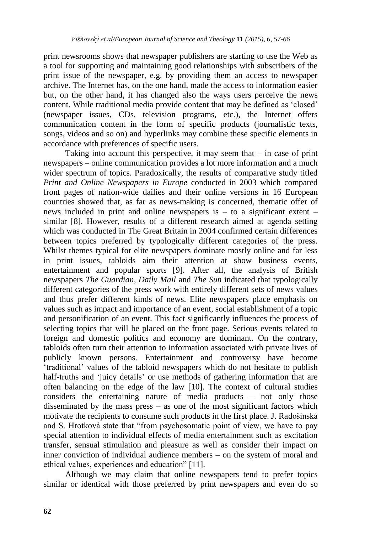print newsrooms shows that newspaper publishers are starting to use the Web as a tool for supporting and maintaining good relationships with subscribers of the print issue of the newspaper, e.g. by providing them an access to newspaper archive. The Internet has, on the one hand, made the access to information easier but, on the other hand, it has changed also the ways users perceive the news content. While traditional media provide content that may be defined as "closed" (newspaper issues, CDs, television programs, etc.), the Internet offers communication content in the form of specific products (journalistic texts, songs, videos and so on) and hyperlinks may combine these specific elements in accordance with preferences of specific users.

Taking into account this perspective, it may seem that – in case of print newspapers – online communication provides a lot more information and a much wider spectrum of topics. Paradoxically, the results of comparative study titled *Print and Online Newspapers in Europe* conducted in 2003 which compared front pages of nation-wide dailies and their online versions in 16 European countries showed that, as far as news-making is concerned, thematic offer of news included in print and online newspapers is  $-$  to a significant extent  $$ similar [8]. However, results of a different research aimed at agenda setting which was conducted in The Great Britain in 2004 confirmed certain differences between topics preferred by typologically different categories of the press. Whilst themes typical for elite newspapers dominate mostly online and far less in print issues, tabloids aim their attention at show business events, entertainment and popular sports [9]. After all, the analysis of British newspapers *The Guardian, Daily Mail* and *The Sun* indicated that typologically different categories of the press work with entirely different sets of news values and thus prefer different kinds of news. Elite newspapers place emphasis on values such as impact and importance of an event, social establishment of a topic and personification of an event. This fact significantly influences the process of selecting topics that will be placed on the front page. Serious events related to foreign and domestic politics and economy are dominant. On the contrary, tabloids often turn their attention to information associated with private lives of publicly known persons. Entertainment and controversy have become "traditional" values of the tabloid newspapers which do not hesitate to publish half-truths and 'juicy details' or use methods of gathering information that are often balancing on the edge of the law [10]. The context of cultural studies considers the entertaining nature of media products – not only those disseminated by the mass press – as one of the most significant factors which motivate the recipients to consume such products in the first place. J. Radošinská and S. Hrotková state that "from psychosomatic point of view, we have to pay special attention to individual effects of media entertainment such as excitation transfer, sensual stimulation and pleasure as well as consider their impact on inner conviction of individual audience members – on the system of moral and ethical values, experiences and education" [11].

Although we may claim that online newspapers tend to prefer topics similar or identical with those preferred by print newspapers and even do so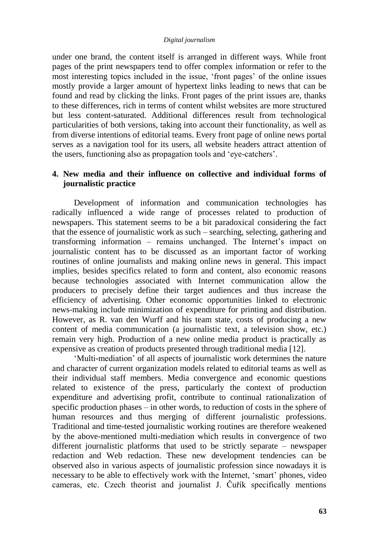under one brand, the content itself is arranged in different ways. While front pages of the print newspapers tend to offer complex information or refer to the most interesting topics included in the issue, "front pages" of the online issues mostly provide a larger amount of hypertext links leading to news that can be found and read by clicking the links. Front pages of the print issues are, thanks to these differences, rich in terms of content whilst websites are more structured but less content-saturated. Additional differences result from technological particularities of both versions, taking into account their functionality, as well as from diverse intentions of editorial teams. Every front page of online news portal serves as a navigation tool for its users, all website headers attract attention of the users, functioning also as propagation tools and "eye-catchers".

# **4. New media and their influence on collective and individual forms of journalistic practice**

Development of information and communication technologies has radically influenced a wide range of processes related to production of newspapers. This statement seems to be a bit paradoxical considering the fact that the essence of journalistic work as such – searching, selecting, gathering and transforming information – remains unchanged. The Internet's impact on journalistic content has to be discussed as an important factor of working routines of online journalists and making online news in general. This impact implies, besides specifics related to form and content, also economic reasons because technologies associated with Internet communication allow the producers to precisely define their target audiences and thus increase the efficiency of advertising. Other economic opportunities linked to electronic news-making include minimization of expenditure for printing and distribution. However, as R. van den Wurff and his team state, costs of producing a new content of media communication (a journalistic text, a television show, etc.) remain very high. Production of a new online media product is practically as expensive as creation of products presented through traditional media [12].

"Multi-mediation" of all aspects of journalistic work determines the nature and character of current organization models related to editorial teams as well as their individual staff members. Media convergence and economic questions related to existence of the press, particularly the context of production expenditure and advertising profit, contribute to continual rationalization of specific production phases – in other words, to reduction of costs in the sphere of human resources and thus merging of different journalistic professions. Traditional and time-tested journalistic working routines are therefore weakened by the above-mentioned multi-mediation which results in convergence of two different journalistic platforms that used to be strictly separate – newspaper redaction and Web redaction. These new development tendencies can be observed also in various aspects of journalistic profession since nowadays it is necessary to be able to effectively work with the Internet, "smart" phones, video cameras, etc. Czech theorist and journalist J. Čuřík specifically mentions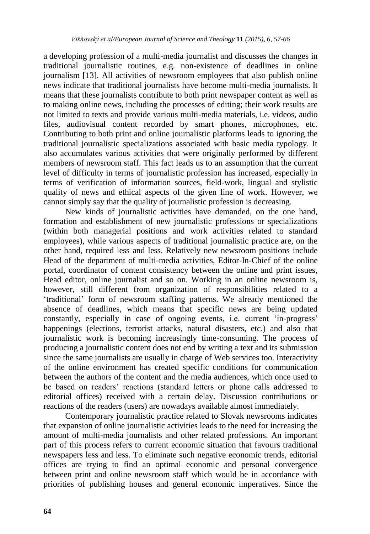a developing profession of a multi-media journalist and discusses the changes in traditional journalistic routines, e.g. non-existence of deadlines in online journalism [13]. All activities of newsroom employees that also publish online news indicate that traditional journalists have become multi-media journalists. It means that these journalists contribute to both print newspaper content as well as to making online news, including the processes of editing; their work results are not limited to texts and provide various multi-media materials, i.e. videos, audio files, audiovisual content recorded by smart phones, microphones, etc. Contributing to both print and online journalistic platforms leads to ignoring the traditional journalistic specializations associated with basic media typology. It also accumulates various activities that were originally performed by different members of newsroom staff. This fact leads us to an assumption that the current level of difficulty in terms of journalistic profession has increased, especially in terms of verification of information sources, field-work, lingual and stylistic quality of news and ethical aspects of the given line of work. However, we cannot simply say that the quality of journalistic profession is decreasing.

New kinds of journalistic activities have demanded, on the one hand, formation and establishment of new journalistic professions or specializations (within both managerial positions and work activities related to standard employees), while various aspects of traditional journalistic practice are, on the other hand, required less and less. Relatively new newsroom positions include Head of the department of multi-media activities, Editor-In-Chief of the online portal, coordinator of content consistency between the online and print issues, Head editor, online journalist and so on. Working in an online newsroom is, however, still different from organization of responsibilities related to a "traditional" form of newsroom staffing patterns. We already mentioned the absence of deadlines, which means that specific news are being updated constantly, especially in case of ongoing events, i.e. current "in-progress" happenings (elections, terrorist attacks, natural disasters, etc.) and also that journalistic work is becoming increasingly time-consuming. The process of producing a journalistic content does not end by writing a text and its submission since the same journalists are usually in charge of Web services too. Interactivity of the online environment has created specific conditions for communication between the authors of the content and the media audiences, which once used to be based on readers" reactions (standard letters or phone calls addressed to editorial offices) received with a certain delay. Discussion contributions or reactions of the readers (users) are nowadays available almost immediately.

Contemporary journalistic practice related to Slovak newsrooms indicates that expansion of online journalistic activities leads to the need for increasing the amount of multi-media journalists and other related professions. An important part of this process refers to current economic situation that favours traditional newspapers less and less. To eliminate such negative economic trends, editorial offices are trying to find an optimal economic and personal convergence between print and online newsroom staff which would be in accordance with priorities of publishing houses and general economic imperatives. Since the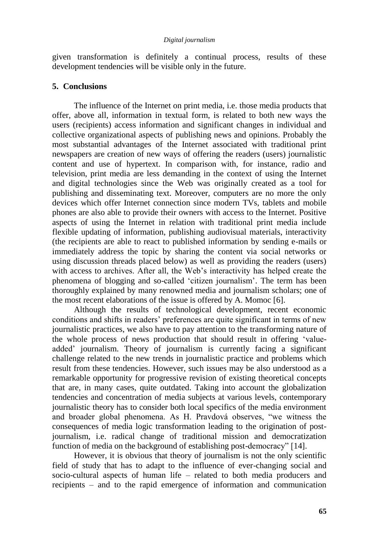given transformation is definitely a continual process, results of these development tendencies will be visible only in the future.

# **5. Conclusions**

The influence of the Internet on print media, i.e. those media products that offer, above all, information in textual form, is related to both new ways the users (recipients) access information and significant changes in individual and collective organizational aspects of publishing news and opinions. Probably the most substantial advantages of the Internet associated with traditional print newspapers are creation of new ways of offering the readers (users) journalistic content and use of hypertext. In comparison with, for instance, radio and television, print media are less demanding in the context of using the Internet and digital technologies since the Web was originally created as a tool for publishing and disseminating text. Moreover, computers are no more the only devices which offer Internet connection since modern TVs, tablets and mobile phones are also able to provide their owners with access to the Internet. Positive aspects of using the Internet in relation with traditional print media include flexible updating of information, publishing audiovisual materials, interactivity (the recipients are able to react to published information by sending e-mails or immediately address the topic by sharing the content via social networks or using discussion threads placed below) as well as providing the readers (users) with access to archives. After all, the Web's interactivity has helped create the phenomena of blogging and so-called "citizen journalism". The term has been thoroughly explained by many renowned media and journalism scholars; one of the most recent elaborations of the issue is offered by A. Momoc [6].

Although the results of technological development, recent economic conditions and shifts in readers" preferences are quite significant in terms of new journalistic practices, we also have to pay attention to the transforming nature of the whole process of news production that should result in offering "valueadded" journalism. Theory of journalism is currently facing a significant challenge related to the new trends in journalistic practice and problems which result from these tendencies. However, such issues may be also understood as a remarkable opportunity for progressive revision of existing theoretical concepts that are, in many cases, quite outdated. Taking into account the globalization tendencies and concentration of media subjects at various levels, contemporary journalistic theory has to consider both local specifics of the media environment and broader global phenomena. As H. Pravdová observes, "we witness the consequences of media logic transformation leading to the origination of postjournalism, i.e. radical change of traditional mission and democratization function of media on the background of establishing post-democracy" [14].

However, it is obvious that theory of journalism is not the only scientific field of study that has to adapt to the influence of ever-changing social and socio-cultural aspects of human life – related to both media producers and recipients – and to the rapid emergence of information and communication